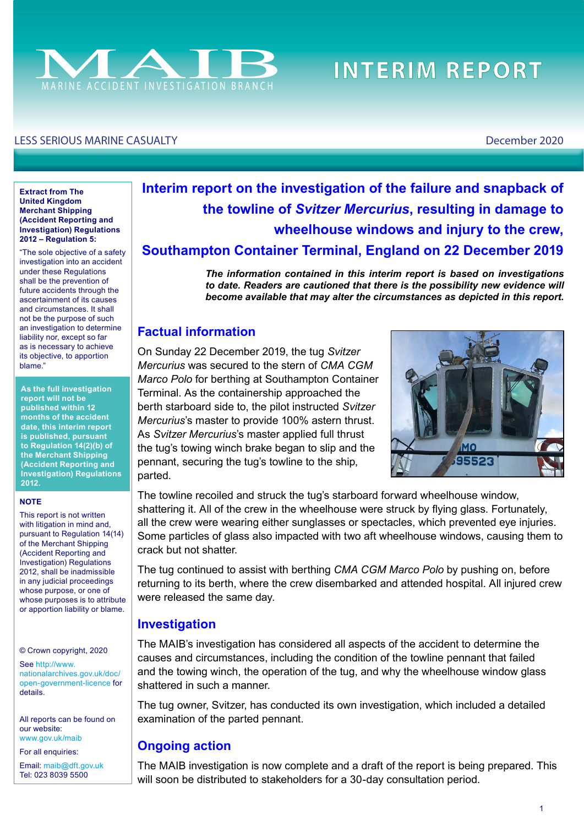

# **INTERIM REPORT**

#### LESS SERIOUS MARINE CASUALTY December 2020

#### **Extract from The United Kingdom Merchant Shipping (Accident Reporting and Investigation) Regulations 2012 – Regulation 5:**

"The sole objective of a safety investigation into an accident under these Regulations shall be the prevention of future accidents through the ascertainment of its causes and circumstances. It shall not be the purpose of such an investigation to determine liability nor, except so far as is necessary to achieve its objective, to apportion blame."

**As the full investigation report will not be published within 12 months of the accident date, this interim report is published, pursuant to Regulation 14(2)(b) of the Merchant Shipping (Accident Reporting and Investigation) Regulations 2012.**

#### **NOTE**

This report is not written with litigation in mind and, pursuant to Regulation 14(14) of the Merchant Shipping (Accident Reporting and Investigation) Regulations 2012, shall be inadmissible in any judicial proceedings whose purpose, or one of whose purposes is to attribute or apportion liability or blame.

© Crown copyright, 2020

See [http://www.](http://www.nationalarchives.gov.uk/doc/open-government-licence/) [nationalarchives.gov.uk/doc/](http://www.nationalarchives.gov.uk/doc/open-government-licence/) [open-government-licence](http://www.nationalarchives.gov.uk/doc/open-government-licence/) for details.

All reports can be found on our website: www.gov.uk/maib

For all enquiries:

Email: [maib@dft.gov.uk](mailto:maib%40dft.gov.uk?subject=) Tel: 023 8039 5500

## **Interim report on the investigation of the failure and snapback of the towline of** *Svitzer Mercurius***, resulting in damage to wheelhouse windows and injury to the crew, Southampton Container Terminal, England on 22 December 2019**

*The information contained in this interim report is based on investigations*  to date. Readers are cautioned that there is the possibility new evidence will *become available that may alter the circumstances as depicted in this report.*

#### **Factual information**

On Sunday 22 December 2019, the tug *Svitzer Mercurius* was secured to the stern of *CMA CGM Marco Polo* for berthing at Southampton Container Terminal. As the containership approached the berth starboard side to, the pilot instructed *Svitzer Mercurius*'s master to provide 100% astern thrust. As *Svitzer Mercurius*'s master applied full thrust the tug's towing winch brake began to slip and the pennant, securing the tug's towline to the ship, parted.



The towline recoiled and struck the tug's starboard forward wheelhouse window, shattering it. All of the crew in the wheelhouse were struck by fying glass. Fortunately, all the crew were wearing either sunglasses or spectacles, which prevented eye injuries. Some particles of glass also impacted with two aft wheelhouse windows, causing them to crack but not shatter.

The tug continued to assist with berthing *CMA CGM Marco Polo* by pushing on, before returning to its berth, where the crew disembarked and attended hospital. All injured crew were released the same day.

#### **Investigation**

The MAIB's investigation has considered all aspects of the accident to determine the causes and circumstances, including the condition of the towline pennant that failed and the towing winch, the operation of the tug, and why the wheelhouse window glass shattered in such a manner.

The tug owner, Svitzer, has conducted its own investigation, which included a detailed examination of the parted pennant.

#### **Ongoing action**

The MAIB investigation is now complete and a draft of the report is being prepared. This will soon be distributed to stakeholders for a 30-day consultation period.